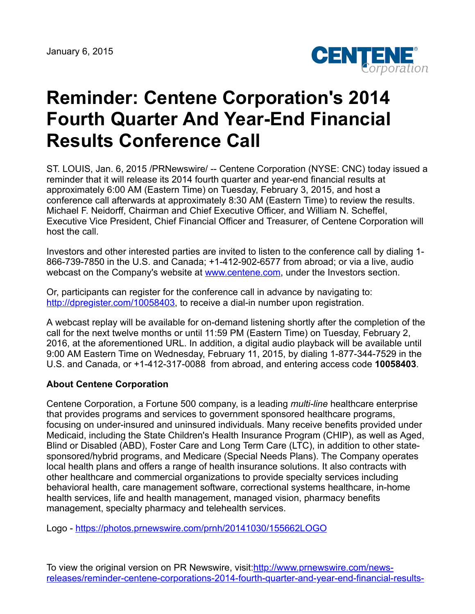

## **Reminder: Centene Corporation's 2014 Fourth Quarter And Year-End Financial Results Conference Call**

ST. LOUIS, Jan. 6, 2015 /PRNewswire/ -- Centene Corporation (NYSE: CNC) today issued a reminder that it will release its 2014 fourth quarter and year-end financial results at approximately 6:00 AM (Eastern Time) on Tuesday, February 3, 2015, and host a conference call afterwards at approximately 8:30 AM (Eastern Time) to review the results. Michael F. Neidorff, Chairman and Chief Executive Officer, and William N. Scheffel, Executive Vice President, Chief Financial Officer and Treasurer, of Centene Corporation will host the call.

Investors and other interested parties are invited to listen to the conference call by dialing 1- 866-739-7850 in the U.S. and Canada; +1-412-902-6577 from abroad; or via a live, audio webcast on the Company's website at [www.centene.com,](http://www.centene.com/) under the Investors section.

Or, participants can register for the conference call in advance by navigating to: [http://dpregister.com/10058403,](http://dpregister.com/10058403) to receive a dial-in number upon registration.

A webcast replay will be available for on-demand listening shortly after the completion of the call for the next twelve months or until 11:59 PM (Eastern Time) on Tuesday, February 2, 2016, at the aforementioned URL. In addition, a digital audio playback will be available until 9:00 AM Eastern Time on Wednesday, February 11, 2015, by dialing 1-877-344-7529 in the U.S. and Canada, or +1-412-317-0088 from abroad, and entering access code **10058403**.

## **About Centene Corporation**

Centene Corporation, a Fortune 500 company, is a leading *multi-line* healthcare enterprise that provides programs and services to government sponsored healthcare programs, focusing on under-insured and uninsured individuals. Many receive benefits provided under Medicaid, including the State Children's Health Insurance Program (CHIP), as well as Aged, Blind or Disabled (ABD), Foster Care and Long Term Care (LTC), in addition to other statesponsored/hybrid programs, and Medicare (Special Needs Plans). The Company operates local health plans and offers a range of health insurance solutions. It also contracts with other healthcare and commercial organizations to provide specialty services including behavioral health, care management software, correctional systems healthcare, in-home health services, life and health management, managed vision, pharmacy benefits management, specialty pharmacy and telehealth services.

Logo - <https://photos.prnewswire.com/prnh/20141030/155662LOGO>